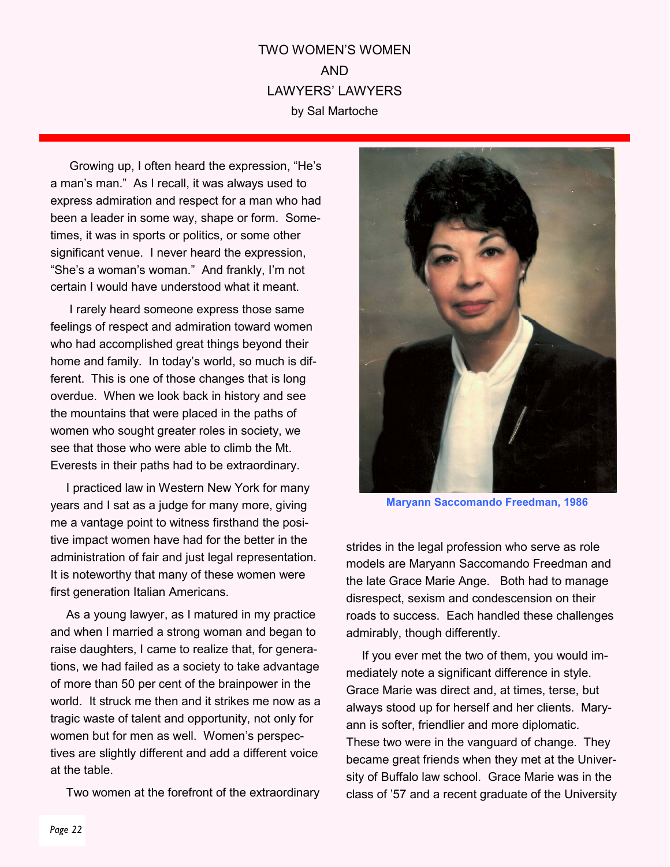## TWO WOMEN'S WOMEN AND LAWYERS' LAWYERS by Sal Martoche

 Growing up, I often heard the expression, "He's a man's man." As I recall, it was always used to express admiration and respect for a man who had been a leader in some way, shape or form. Sometimes, it was in sports or politics, or some other significant venue. I never heard the expression, "She's a woman's woman." And frankly, I'm not certain I would have understood what it meant.

 I rarely heard someone express those same feelings of respect and admiration toward women who had accomplished great things beyond their home and family. In today's world, so much is different. This is one of those changes that is long overdue. When we look back in history and see the mountains that were placed in the paths of women who sought greater roles in society, we see that those who were able to climb the Mt. Everests in their paths had to be extraordinary.

I practiced law in Western New York for many years and I sat as a judge for many more, giving me a vantage point to witness firsthand the positive impact women have had for the better in the administration of fair and just legal representation. It is noteworthy that many of these women were first generation Italian Americans.

As a young lawyer, as I matured in my practice and when I married a strong woman and began to raise daughters, I came to realize that, for generations, we had failed as a society to take advantage of more than 50 per cent of the brainpower in the world. It struck me then and it strikes me now as a tragic waste of talent and opportunity, not only for women but for men as well. Women's perspectives are slightly different and add a different voice at the table.

Two women at the forefront of the extraordinary



Maryann Saccomando Freedman, 1986

strides in the legal profession who serve as role models are Maryann Saccomando Freedman and the late Grace Marie Ange. Both had to manage disrespect, sexism and condescension on their roads to success. Each handled these challenges admirably, though differently.

If you ever met the two of them, you would immediately note a significant difference in style. Grace Marie was direct and, at times, terse, but always stood up for herself and her clients. Maryann is softer, friendlier and more diplomatic. These two were in the vanguard of change. They became great friends when they met at the University of Buffalo law school. Grace Marie was in the class of '57 and a recent graduate of the University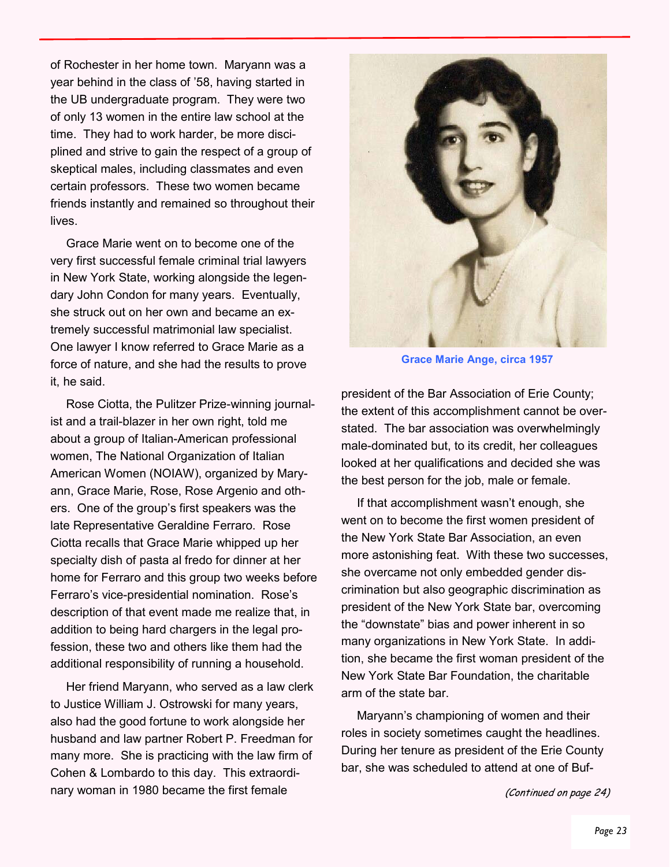of Rochester in her home town. Maryann was a year behind in the class of '58, having started in the UB undergraduate program. They were two of only 13 women in the entire law school at the time. They had to work harder, be more disciplined and strive to gain the respect of a group of skeptical males, including classmates and even certain professors. These two women became friends instantly and remained so throughout their lives.

Grace Marie went on to become one of the very first successful female criminal trial lawyers in New York State, working alongside the legendary John Condon for many years. Eventually, she struck out on her own and became an extremely successful matrimonial law specialist. One lawyer I know referred to Grace Marie as a force of nature, and she had the results to prove it, he said.

Rose Ciotta, the Pulitzer Prize-winning journalist and a trail-blazer in her own right, told me about a group of Italian-American professional women, The National Organization of Italian American Women (NOIAW), organized by Maryann, Grace Marie, Rose, Rose Argenio and others. One of the group's first speakers was the late Representative Geraldine Ferraro. Rose Ciotta recalls that Grace Marie whipped up her specialty dish of pasta al fredo for dinner at her home for Ferraro and this group two weeks before Ferraro's vice-presidential nomination. Rose's description of that event made me realize that, in addition to being hard chargers in the legal profession, these two and others like them had the additional responsibility of running a household.

Her friend Maryann, who served as a law clerk to Justice William J. Ostrowski for many years, also had the good fortune to work alongside her husband and law partner Robert P. Freedman for many more. She is practicing with the law firm of Cohen & Lombardo to this day. This extraordinary woman in 1980 became the first female



Grace Marie Ange, circa 1957

president of the Bar Association of Erie County; the extent of this accomplishment cannot be overstated. The bar association was overwhelmingly male-dominated but, to its credit, her colleagues looked at her qualifications and decided she was the best person for the job, male or female.

If that accomplishment wasn't enough, she went on to become the first women president of the New York State Bar Association, an even more astonishing feat. With these two successes, she overcame not only embedded gender discrimination but also geographic discrimination as president of the New York State bar, overcoming the "downstate" bias and power inherent in so many organizations in New York State. In addition, she became the first woman president of the New York State Bar Foundation, the charitable arm of the state bar.

Maryann's championing of women and their roles in society sometimes caught the headlines. During her tenure as president of the Erie County bar, she was scheduled to attend at one of Buf-

(Continued on page 24)